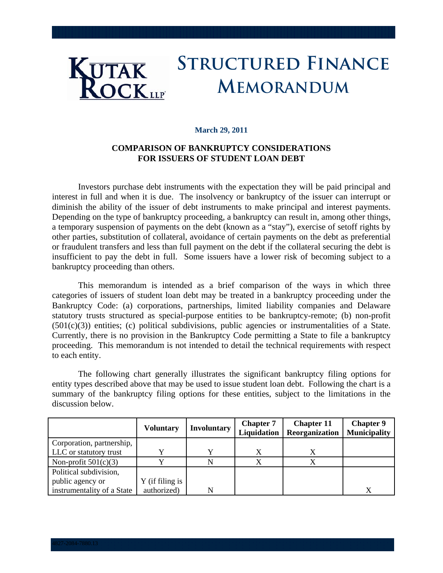# **Structured Finance KUTAK ROCK**LLF **MEMORANDUM**

#### **March 29, 2011**

## **COMPARISON OF BANKRUPTCY CONSIDERATIONS FOR ISSUERS OF STUDENT LOAN DEBT**

Investors purchase debt instruments with the expectation they will be paid principal and interest in full and when it is due. The insolvency or bankruptcy of the issuer can interrupt or diminish the ability of the issuer of debt instruments to make principal and interest payments. Depending on the type of bankruptcy proceeding, a bankruptcy can result in, among other things, a temporary suspension of payments on the debt (known as a "stay"), exercise of setoff rights by other parties, substitution of collateral, avoidance of certain payments on the debt as preferential or fraudulent transfers and less than full payment on the debt if the collateral securing the debt is insufficient to pay the debt in full. Some issuers have a lower risk of becoming subject to a bankruptcy proceeding than others.

This memorandum is intended as a brief comparison of the ways in which three categories of issuers of student loan debt may be treated in a bankruptcy proceeding under the Bankruptcy Code: (a) corporations, partnerships, limited liability companies and Delaware statutory trusts structured as special-purpose entities to be bankruptcy-remote; (b) non-profit (501(c)(3)) entities; (c) political subdivisions, public agencies or instrumentalities of a State. Currently, there is no provision in the Bankruptcy Code permitting a State to file a bankruptcy proceeding. This memorandum is not intended to detail the technical requirements with respect to each entity.

The following chart generally illustrates the significant bankruptcy filing options for entity types described above that may be used to issue student loan debt. Following the chart is a summary of the bankruptcy filing options for these entities, subject to the limitations in the discussion below.

|                            | <b>Voluntary</b> | <b>Involuntary</b> | <b>Chapter 7</b><br>Liquidation | <b>Chapter 11</b><br>Reorganization | <b>Chapter 9</b><br><b>Municipality</b> |
|----------------------------|------------------|--------------------|---------------------------------|-------------------------------------|-----------------------------------------|
| Corporation, partnership,  |                  |                    |                                 |                                     |                                         |
| LLC or statutory trust     |                  |                    |                                 |                                     |                                         |
| Non-profit $501(c)(3)$     |                  |                    |                                 |                                     |                                         |
| Political subdivision,     |                  |                    |                                 |                                     |                                         |
| public agency or           | Y (if filing is  |                    |                                 |                                     |                                         |
| instrumentality of a State | authorized)      |                    |                                 |                                     |                                         |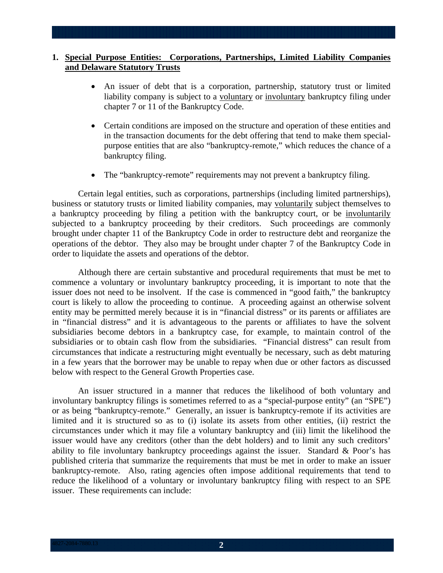## **1. Special Purpose Entities: Corporations, Partnerships, Limited Liability Companies and Delaware Statutory Trusts**

- An issuer of debt that is a corporation, partnership, statutory trust or limited liability company is subject to a voluntary or involuntary bankruptcy filing under chapter 7 or 11 of the Bankruptcy Code.
- Certain conditions are imposed on the structure and operation of these entities and in the transaction documents for the debt offering that tend to make them specialpurpose entities that are also "bankruptcy-remote," which reduces the chance of a bankruptcy filing.
- The "bankruptcy-remote" requirements may not prevent a bankruptcy filing.

Certain legal entities, such as corporations, partnerships (including limited partnerships), business or statutory trusts or limited liability companies, may voluntarily subject themselves to a bankruptcy proceeding by filing a petition with the bankruptcy court, or be involuntarily subjected to a bankruptcy proceeding by their creditors. Such proceedings are commonly brought under chapter 11 of the Bankruptcy Code in order to restructure debt and reorganize the operations of the debtor. They also may be brought under chapter 7 of the Bankruptcy Code in order to liquidate the assets and operations of the debtor.

Although there are certain substantive and procedural requirements that must be met to commence a voluntary or involuntary bankruptcy proceeding, it is important to note that the issuer does not need to be insolvent. If the case is commenced in "good faith," the bankruptcy court is likely to allow the proceeding to continue. A proceeding against an otherwise solvent entity may be permitted merely because it is in "financial distress" or its parents or affiliates are in "financial distress" and it is advantageous to the parents or affiliates to have the solvent subsidiaries become debtors in a bankruptcy case, for example, to maintain control of the subsidiaries or to obtain cash flow from the subsidiaries. "Financial distress" can result from circumstances that indicate a restructuring might eventually be necessary, such as debt maturing in a few years that the borrower may be unable to repay when due or other factors as discussed below with respect to the General Growth Properties case.

An issuer structured in a manner that reduces the likelihood of both voluntary and involuntary bankruptcy filings is sometimes referred to as a "special-purpose entity" (an "SPE") or as being "bankruptcy-remote." Generally, an issuer is bankruptcy-remote if its activities are limited and it is structured so as to (i) isolate its assets from other entities, (ii) restrict the circumstances under which it may file a voluntary bankruptcy and (iii) limit the likelihood the issuer would have any creditors (other than the debt holders) and to limit any such creditors' ability to file involuntary bankruptcy proceedings against the issuer. Standard & Poor's has published criteria that summarize the requirements that must be met in order to make an issuer bankruptcy-remote. Also, rating agencies often impose additional requirements that tend to reduce the likelihood of a voluntary or involuntary bankruptcy filing with respect to an SPE issuer. These requirements can include: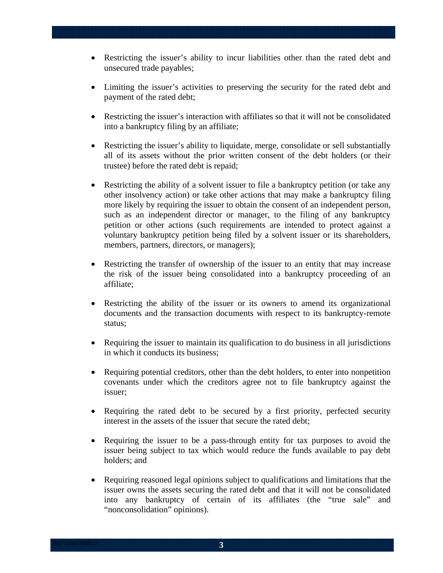- Restricting the issuer's ability to incur liabilities other than the rated debt and unsecured trade payables;
- Limiting the issuer's activities to preserving the security for the rated debt and payment of the rated debt;
- Restricting the issuer's interaction with affiliates so that it will not be consolidated into a bankruptcy filing by an affiliate;
- Restricting the issuer's ability to liquidate, merge, consolidate or sell substantially all of its assets without the prior written consent of the debt holders (or their trustee) before the rated debt is repaid;
- Restricting the ability of a solvent issuer to file a bankruptcy petition (or take any other insolvency action) or take other actions that may make a bankruptcy filing more likely by requiring the issuer to obtain the consent of an independent person, such as an independent director or manager, to the filing of any bankruptcy petition or other actions (such requirements are intended to protect against a voluntary bankruptcy petition being filed by a solvent issuer or its shareholders, members, partners, directors, or managers);
- Restricting the transfer of ownership of the issuer to an entity that may increase the risk of the issuer being consolidated into a bankruptcy proceeding of an affiliate;
- Restricting the ability of the issuer or its owners to amend its organizational documents and the transaction documents with respect to its bankruptcy-remote status;
- Requiring the issuer to maintain its qualification to do business in all jurisdictions in which it conducts its business;
- Requiring potential creditors, other than the debt holders, to enter into nonpetition covenants under which the creditors agree not to file bankruptcy against the issuer;
- Requiring the rated debt to be secured by a first priority, perfected security interest in the assets of the issuer that secure the rated debt;
- Requiring the issuer to be a pass-through entity for tax purposes to avoid the issuer being subject to tax which would reduce the funds available to pay debt holders; and
- Requiring reasoned legal opinions subject to qualifications and limitations that the issuer owns the assets securing the rated debt and that it will not be consolidated into any bankruptcy of certain of its affiliates (the "true sale" and "nonconsolidation" opinions).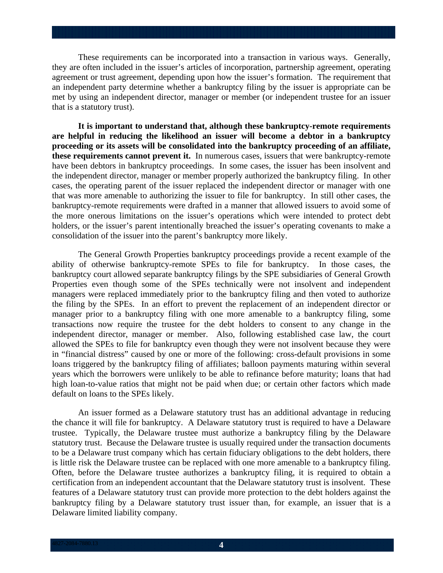These requirements can be incorporated into a transaction in various ways. Generally, they are often included in the issuer's articles of incorporation, partnership agreement, operating agreement or trust agreement, depending upon how the issuer's formation. The requirement that an independent party determine whether a bankruptcy filing by the issuer is appropriate can be met by using an independent director, manager or member (or independent trustee for an issuer that is a statutory trust).

**It is important to understand that, although these bankruptcy-remote requirements are helpful in reducing the likelihood an issuer will become a debtor in a bankruptcy proceeding or its assets will be consolidated into the bankruptcy proceeding of an affiliate, these requirements cannot prevent it.** In numerous cases, issuers that were bankruptcy-remote have been debtors in bankruptcy proceedings. In some cases, the issuer has been insolvent and the independent director, manager or member properly authorized the bankruptcy filing. In other cases, the operating parent of the issuer replaced the independent director or manager with one that was more amenable to authorizing the issuer to file for bankruptcy. In still other cases, the bankruptcy-remote requirements were drafted in a manner that allowed issuers to avoid some of the more onerous limitations on the issuer's operations which were intended to protect debt holders, or the issuer's parent intentionally breached the issuer's operating covenants to make a consolidation of the issuer into the parent's bankruptcy more likely.

The General Growth Properties bankruptcy proceedings provide a recent example of the ability of otherwise bankruptcy-remote SPEs to file for bankruptcy. In those cases, the bankruptcy court allowed separate bankruptcy filings by the SPE subsidiaries of General Growth Properties even though some of the SPEs technically were not insolvent and independent managers were replaced immediately prior to the bankruptcy filing and then voted to authorize the filing by the SPEs. In an effort to prevent the replacement of an independent director or manager prior to a bankruptcy filing with one more amenable to a bankruptcy filing, some transactions now require the trustee for the debt holders to consent to any change in the independent director, manager or member. Also, following established case law, the court allowed the SPEs to file for bankruptcy even though they were not insolvent because they were in "financial distress" caused by one or more of the following: cross-default provisions in some loans triggered by the bankruptcy filing of affiliates; balloon payments maturing within several years which the borrowers were unlikely to be able to refinance before maturity; loans that had high loan-to-value ratios that might not be paid when due; or certain other factors which made default on loans to the SPEs likely.

An issuer formed as a Delaware statutory trust has an additional advantage in reducing the chance it will file for bankruptcy. A Delaware statutory trust is required to have a Delaware trustee. Typically, the Delaware trustee must authorize a bankruptcy filing by the Delaware statutory trust. Because the Delaware trustee is usually required under the transaction documents to be a Delaware trust company which has certain fiduciary obligations to the debt holders, there is little risk the Delaware trustee can be replaced with one more amenable to a bankruptcy filing. Often, before the Delaware trustee authorizes a bankruptcy filing, it is required to obtain a certification from an independent accountant that the Delaware statutory trust is insolvent. These features of a Delaware statutory trust can provide more protection to the debt holders against the bankruptcy filing by a Delaware statutory trust issuer than, for example, an issuer that is a Delaware limited liability company.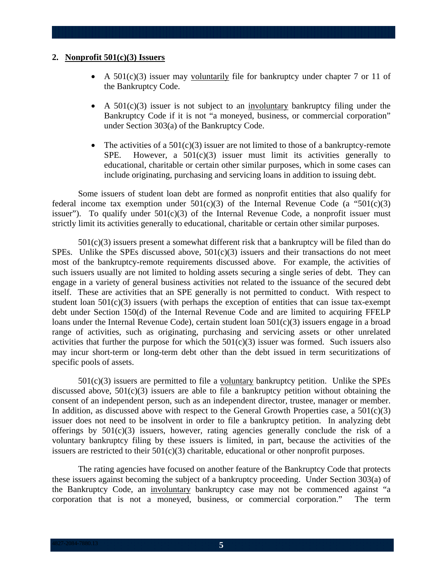#### **2. Nonprofit 501(c)(3) Issuers**

- A  $501(c)(3)$  issuer may voluntarily file for bankruptcy under chapter 7 or 11 of the Bankruptcy Code.
- A  $501(c)(3)$  issuer is not subject to an involuntary bankruptcy filing under the Bankruptcy Code if it is not "a moneyed, business, or commercial corporation" under Section 303(a) of the Bankruptcy Code.
- The activities of a  $501(c)(3)$  issuer are not limited to those of a bankruptcy-remote SPE. However, a  $501(c)(3)$  issuer must limit its activities generally to educational, charitable or certain other similar purposes, which in some cases can include originating, purchasing and servicing loans in addition to issuing debt.

Some issuers of student loan debt are formed as nonprofit entities that also qualify for federal income tax exemption under  $501(c)(3)$  of the Internal Revenue Code (a "501(c)(3) issuer"). To qualify under  $501(c)(3)$  of the Internal Revenue Code, a nonprofit issuer must strictly limit its activities generally to educational, charitable or certain other similar purposes.

 $501(c)(3)$  issuers present a somewhat different risk that a bankruptcy will be filed than do SPEs. Unlike the SPEs discussed above,  $501(c)(3)$  issuers and their transactions do not meet most of the bankruptcy-remote requirements discussed above. For example, the activities of such issuers usually are not limited to holding assets securing a single series of debt. They can engage in a variety of general business activities not related to the issuance of the secured debt itself. These are activities that an SPE generally is not permitted to conduct. With respect to student loan  $501(c)(3)$  issuers (with perhaps the exception of entities that can issue tax-exempt debt under Section 150(d) of the Internal Revenue Code and are limited to acquiring FFELP loans under the Internal Revenue Code), certain student loan 501(c)(3) issuers engage in a broad range of activities, such as originating, purchasing and servicing assets or other unrelated activities that further the purpose for which the  $501(c)(3)$  issuer was formed. Such issuers also may incur short-term or long-term debt other than the debt issued in term securitizations of specific pools of assets.

 $501(c)(3)$  issuers are permitted to file a voluntary bankruptcy petition. Unlike the SPEs discussed above,  $501(c)(3)$  issuers are able to file a bankruptcy petition without obtaining the consent of an independent person, such as an independent director, trustee, manager or member. In addition, as discussed above with respect to the General Growth Properties case, a  $501(c)(3)$ issuer does not need to be insolvent in order to file a bankruptcy petition. In analyzing debt offerings by  $501(c)(3)$  issuers, however, rating agencies generally conclude the risk of a voluntary bankruptcy filing by these issuers is limited, in part, because the activities of the issuers are restricted to their 501(c)(3) charitable, educational or other nonprofit purposes.

The rating agencies have focused on another feature of the Bankruptcy Code that protects these issuers against becoming the subject of a bankruptcy proceeding. Under Section 303(a) of the Bankruptcy Code, an involuntary bankruptcy case may not be commenced against "a corporation that is not a moneyed, business, or commercial corporation." The term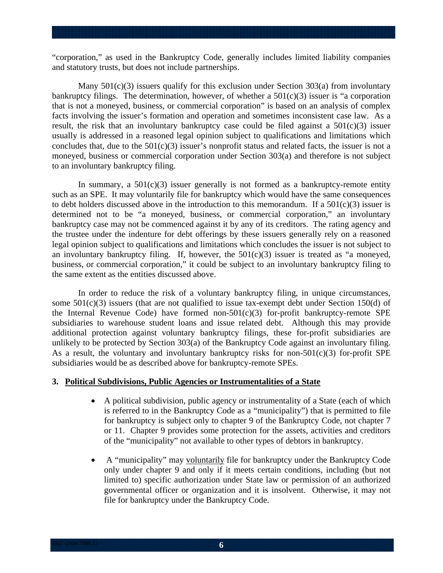"corporation," as used in the Bankruptcy Code, generally includes limited liability companies and statutory trusts, but does not include partnerships.

Many  $501(c)(3)$  issuers qualify for this exclusion under Section 303(a) from involuntary bankruptcy filings. The determination, however, of whether a  $501(c)(3)$  issuer is "a corporation that is not a moneyed, business, or commercial corporation" is based on an analysis of complex facts involving the issuer's formation and operation and sometimes inconsistent case law. As a result, the risk that an involuntary bankruptcy case could be filed against a  $501(c)(3)$  issuer usually is addressed in a reasoned legal opinion subject to qualifications and limitations which concludes that, due to the  $501(c)(3)$  issuer's nonprofit status and related facts, the issuer is not a moneyed, business or commercial corporation under Section 303(a) and therefore is not subject to an involuntary bankruptcy filing.

In summary, a  $501(c)(3)$  issuer generally is not formed as a bankruptcy-remote entity such as an SPE. It may voluntarily file for bankruptcy which would have the same consequences to debt holders discussed above in the introduction to this memorandum. If a  $501(c)(3)$  issuer is determined not to be "a moneyed, business, or commercial corporation," an involuntary bankruptcy case may not be commenced against it by any of its creditors. The rating agency and the trustee under the indenture for debt offerings by these issuers generally rely on a reasoned legal opinion subject to qualifications and limitations which concludes the issuer is not subject to an involuntary bankruptcy filing. If, however, the  $501(c)(3)$  issuer is treated as "a moneyed, business, or commercial corporation," it could be subject to an involuntary bankruptcy filing to the same extent as the entities discussed above.

In order to reduce the risk of a voluntary bankruptcy filing, in unique circumstances, some 501(c)(3) issuers (that are not qualified to issue tax-exempt debt under Section 150(d) of the Internal Revenue Code) have formed non-501(c)(3) for-profit bankruptcy-remote SPE subsidiaries to warehouse student loans and issue related debt. Although this may provide additional protection against voluntary bankruptcy filings, these for-profit subsidiaries are unlikely to be protected by Section 303(a) of the Bankruptcy Code against an involuntary filing. As a result, the voluntary and involuntary bankruptcy risks for non-501(c)(3) for-profit SPE subsidiaries would be as described above for bankruptcy-remote SPEs.

#### **3. Political Subdivisions, Public Agencies or Instrumentalities of a State**

- A political subdivision, public agency or instrumentality of a State (each of which is referred to in the Bankruptcy Code as a "municipality") that is permitted to file for bankruptcy is subject only to chapter 9 of the Bankruptcy Code, not chapter 7 or 11. Chapter 9 provides some protection for the assets, activities and creditors of the "municipality" not available to other types of debtors in bankruptcy.
- A "municipality" may voluntarily file for bankruptcy under the Bankruptcy Code only under chapter 9 and only if it meets certain conditions, including (but not limited to) specific authorization under State law or permission of an authorized governmental officer or organization and it is insolvent. Otherwise, it may not file for bankruptcy under the Bankruptcy Code.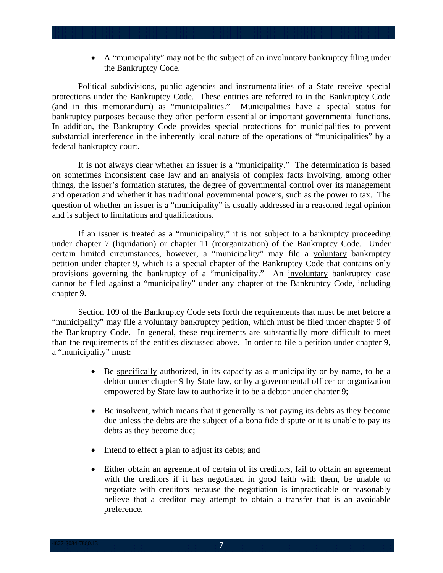A "municipality" may not be the subject of an involuntary bankruptcy filing under the Bankruptcy Code.

Political subdivisions, public agencies and instrumentalities of a State receive special protections under the Bankruptcy Code. These entities are referred to in the Bankruptcy Code (and in this memorandum) as "municipalities." Municipalities have a special status for bankruptcy purposes because they often perform essential or important governmental functions. In addition, the Bankruptcy Code provides special protections for municipalities to prevent substantial interference in the inherently local nature of the operations of "municipalities" by a federal bankruptcy court.

It is not always clear whether an issuer is a "municipality." The determination is based on sometimes inconsistent case law and an analysis of complex facts involving, among other things, the issuer's formation statutes, the degree of governmental control over its management and operation and whether it has traditional governmental powers, such as the power to tax. The question of whether an issuer is a "municipality" is usually addressed in a reasoned legal opinion and is subject to limitations and qualifications.

If an issuer is treated as a "municipality," it is not subject to a bankruptcy proceeding under chapter 7 (liquidation) or chapter 11 (reorganization) of the Bankruptcy Code. Under certain limited circumstances, however, a "municipality" may file a voluntary bankruptcy petition under chapter 9, which is a special chapter of the Bankruptcy Code that contains only provisions governing the bankruptcy of a "municipality." An involuntary bankruptcy case cannot be filed against a "municipality" under any chapter of the Bankruptcy Code, including chapter 9.

Section 109 of the Bankruptcy Code sets forth the requirements that must be met before a "municipality" may file a voluntary bankruptcy petition, which must be filed under chapter 9 of the Bankruptcy Code. In general, these requirements are substantially more difficult to meet than the requirements of the entities discussed above. In order to file a petition under chapter 9, a "municipality" must:

- Be specifically authorized, in its capacity as a municipality or by name, to be a debtor under chapter 9 by State law, or by a governmental officer or organization empowered by State law to authorize it to be a debtor under chapter 9;
- Be insolvent, which means that it generally is not paying its debts as they become due unless the debts are the subject of a bona fide dispute or it is unable to pay its debts as they become due;
- Intend to effect a plan to adjust its debts; and
- Either obtain an agreement of certain of its creditors, fail to obtain an agreement with the creditors if it has negotiated in good faith with them, be unable to negotiate with creditors because the negotiation is impracticable or reasonably believe that a creditor may attempt to obtain a transfer that is an avoidable preference.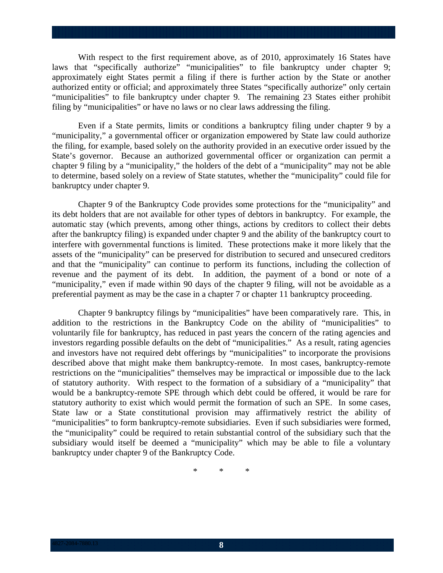With respect to the first requirement above, as of 2010, approximately 16 States have laws that "specifically authorize" "municipalities" to file bankruptcy under chapter 9; approximately eight States permit a filing if there is further action by the State or another authorized entity or official; and approximately three States "specifically authorize" only certain "municipalities" to file bankruptcy under chapter 9. The remaining 23 States either prohibit filing by "municipalities" or have no laws or no clear laws addressing the filing.

Even if a State permits, limits or conditions a bankruptcy filing under chapter 9 by a "municipality," a governmental officer or organization empowered by State law could authorize the filing, for example, based solely on the authority provided in an executive order issued by the State's governor. Because an authorized governmental officer or organization can permit a chapter 9 filing by a "municipality," the holders of the debt of a "municipality" may not be able to determine, based solely on a review of State statutes, whether the "municipality" could file for bankruptcy under chapter 9.

Chapter 9 of the Bankruptcy Code provides some protections for the "municipality" and its debt holders that are not available for other types of debtors in bankruptcy. For example, the automatic stay (which prevents, among other things, actions by creditors to collect their debts after the bankruptcy filing) is expanded under chapter 9 and the ability of the bankruptcy court to interfere with governmental functions is limited. These protections make it more likely that the assets of the "municipality" can be preserved for distribution to secured and unsecured creditors and that the "municipality" can continue to perform its functions, including the collection of revenue and the payment of its debt. In addition, the payment of a bond or note of a "municipality," even if made within 90 days of the chapter 9 filing, will not be avoidable as a preferential payment as may be the case in a chapter 7 or chapter 11 bankruptcy proceeding.

Chapter 9 bankruptcy filings by "municipalities" have been comparatively rare. This, in addition to the restrictions in the Bankruptcy Code on the ability of "municipalities" to voluntarily file for bankruptcy, has reduced in past years the concern of the rating agencies and investors regarding possible defaults on the debt of "municipalities." As a result, rating agencies and investors have not required debt offerings by "municipalities" to incorporate the provisions described above that might make them bankruptcy-remote. In most cases, bankruptcy-remote restrictions on the "municipalities" themselves may be impractical or impossible due to the lack of statutory authority. With respect to the formation of a subsidiary of a "municipality" that would be a bankruptcy-remote SPE through which debt could be offered, it would be rare for statutory authority to exist which would permit the formation of such an SPE. In some cases, State law or a State constitutional provision may affirmatively restrict the ability of "municipalities" to form bankruptcy-remote subsidiaries. Even if such subsidiaries were formed, the "municipality" could be required to retain substantial control of the subsidiary such that the subsidiary would itself be deemed a "municipality" which may be able to file a voluntary bankruptcy under chapter 9 of the Bankruptcy Code.

\* \* \*